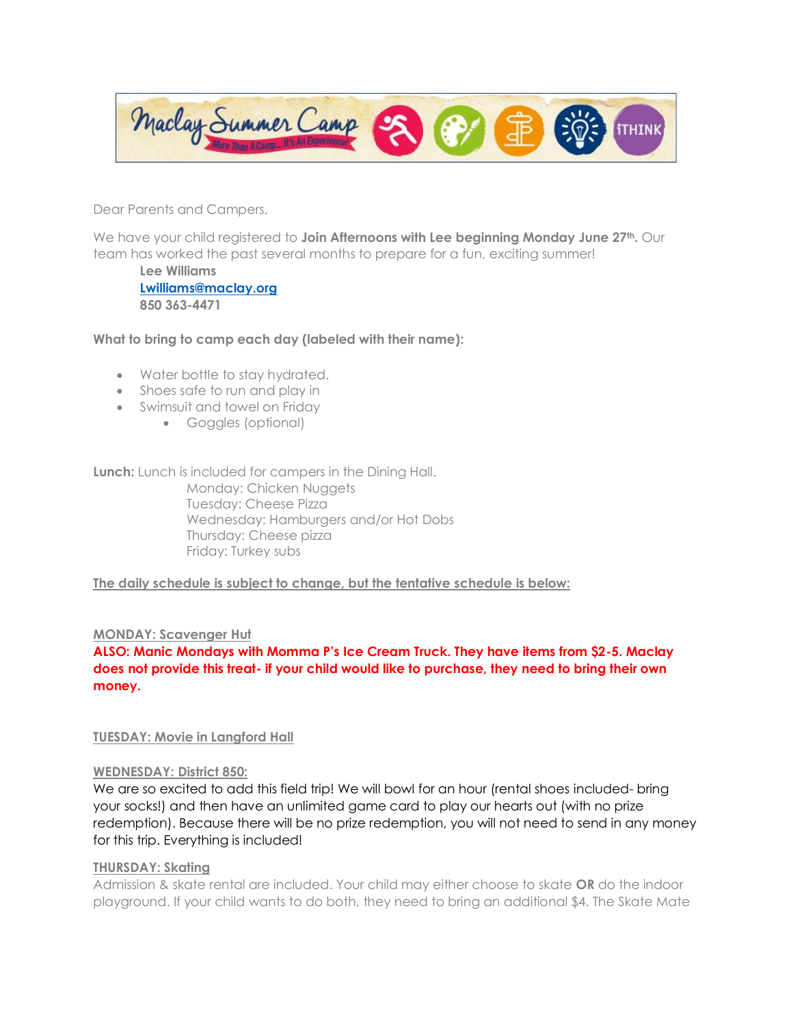Maclay Summer Camp **THINK** 

Dear Parents and Campers,

We have your child registered to **Join Afternoons with Lee beginning Monday June 27th.** Our team has worked the past several months to prepare for a fun, exciting summer!

**Lee Williams [Lwilliams@maclay.org](mailto:Lwilliams@maclay.org) 850 363-4471**

## **What to bring to camp each day (labeled with their name):**

- Water bottle to stay hydrated.
- Shoes safe to run and play in
- Swimsuit and towel on Friday
	- Goggles (optional)

**Lunch:** Lunch is included for campers in the Dining Hall. Monday: Chicken Nuggets Tuesday: Cheese Pizza Wednesday: Hamburgers and/or Hot Dobs Thursday: Cheese pizza Friday: Turkey subs

## **The daily schedule is subject to change, but the tentative schedule is below:**

## **MONDAY: Scavenger Hut**

**ALSO: Manic Mondays with Momma P's Ice Cream Truck. They have items from \$2-5. Maclay does not provide this treat- if your child would like to purchase, they need to bring their own money.** 

## **TUESDAY: Movie in Langford Hall**

#### **WEDNESDAY: District 850:**

We are so excited to add this field trip! We will bowl for an hour (rental shoes included- bring your socks!) and then have an unlimited game card to play our hearts out (with no prize redemption). Because there will be no prize redemption, you will not need to send in any money for this trip. Everything is included!

# **THURSDAY: Skating**

Admission & skate rental are included. Your child may either choose to skate **OR** do the indoor playground. If your child wants to do both, they need to bring an additional \$4. The Skate Mate